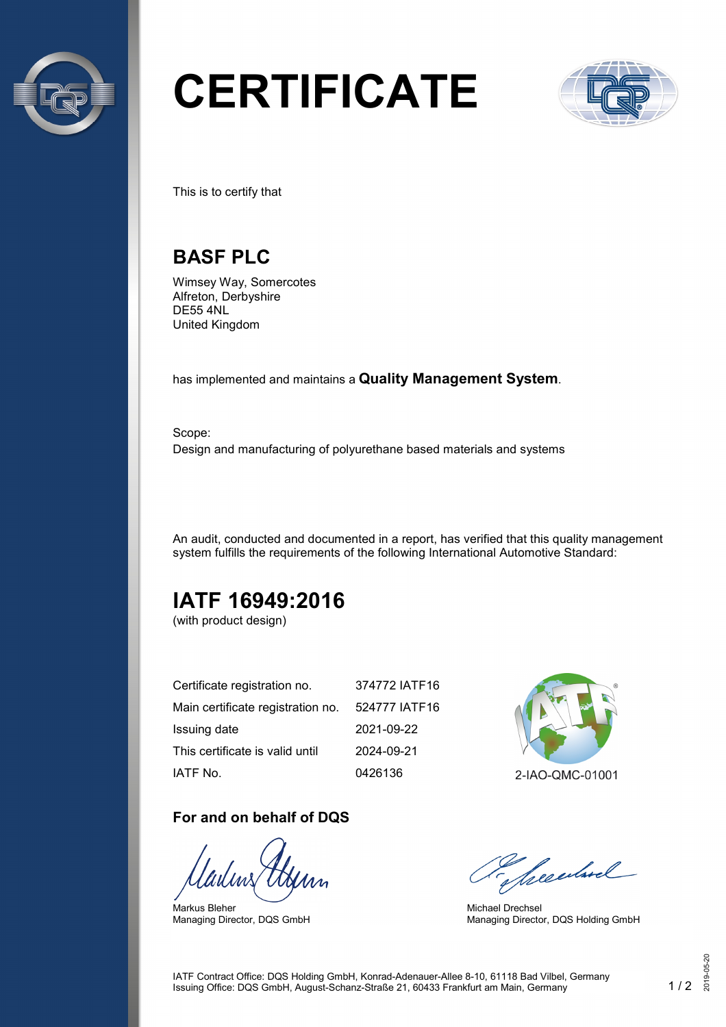

# **CERTIFICATE**



This is to certify that

## **BASF PLC**

Wimsey Way, Somercotes Alfreton, Derbyshire DE55 4NL United Kingdom

has implemented and maintains a **Quality Management System**.

Scope: Design and manufacturing of polyurethane based materials and systems

An audit, conducted and documented in a report, has verified that this quality management system fulfills the requirements of the following International Automotive Standard:

# **IATF 16949:2016**

(with product design)

| Certificate registration no.      | 374772 IATF16 |
|-----------------------------------|---------------|
| Main certificate registration no. | 524777 IATF16 |
| Issuing date                      | 2021-09-22    |
| This certificate is valid until   | 2024-09-21    |
| IATF No.                          | 0426136       |

#### **For and on behalf of DQS**

Markus Bleher Managing Director, DQS GmbH



2-IAO-QMC-01001

Seculard

Michael Drechsel Managing Director, DQS Holding GmbH

IATF Contract Office: DQS Holding GmbH, Konrad-Adenauer-Allee 8-10, 61118 Bad Vilbel, Germany Issuing Office: DQS GmbH, August-Schanz-Straße 21, 60433 Frankfurt am Main, Germany 1 / 2